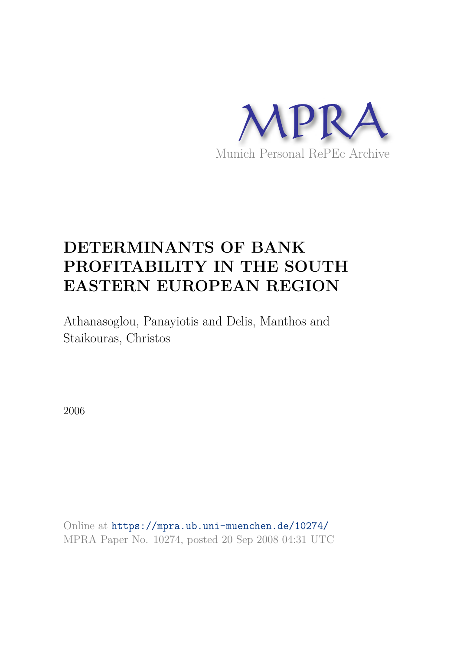

# **DETERMINANTS OF BANK PROFITABILITY IN THE SOUTH EASTERN EUROPEAN REGION**

Athanasoglou, Panayiotis and Delis, Manthos and Staikouras, Christos

2006

Online at https://mpra.ub.uni-muenchen.de/10274/ MPRA Paper No. 10274, posted 20 Sep 2008 04:31 UTC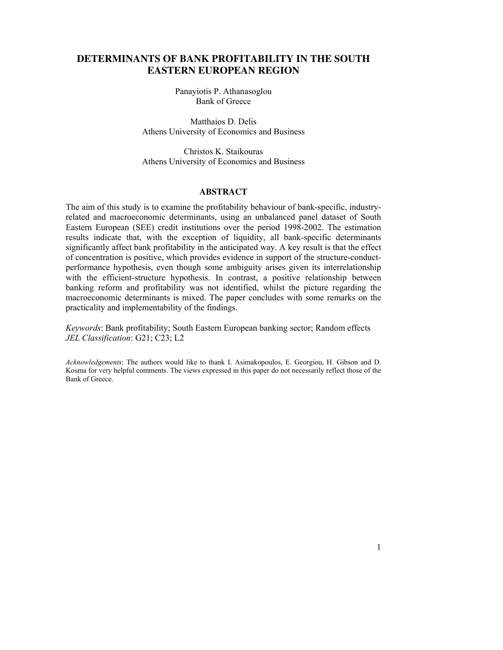# **DETERMINANTS OF BANK PROFITABILITY IN THE SOUTH EASTERN EUROPEAN REGION**

Panayiotis P. Athanasoglou Bank of Greece

Matthaios D. Delis Athens University of Economics and Business

Christos K. Staikouras Athens University of Economics and Business

#### **ABSTRACT**

The aim of this study is to examine the profitability behaviour of bank-specific, industryrelated and macroeconomic determinants, using an unbalanced panel dataset of South Eastern European (SEE) credit institutions over the period 1998-2002. The estimation results indicate that, with the exception of liquidity, all bank-specific determinants significantly affect bank profitability in the anticipated way. A key result is that the effect of concentration is positive, which provides evidence in support of the structure-conductperformance hypothesis, even though some ambiguity arises given its interrelationship with the efficient-structure hypothesis. In contrast, a positive relationship between banking reform and profitability was not identified, whilst the picture regarding the macroeconomic determinants is mixed. The paper concludes with some remarks on the practicality and implementability of the findings.

*Keywords*: Bank profitability; South Eastern European banking sector; Random effects *JEL Classification*: G21; C23; L2

*Acknowledgements*: The authors would like to thank I. Asimakopoulos, E. Georgiou, H. Gibson and D. Kosma for very helpful comments. The views expressed in this paper do not necessarily reflect those of the Bank of Greece.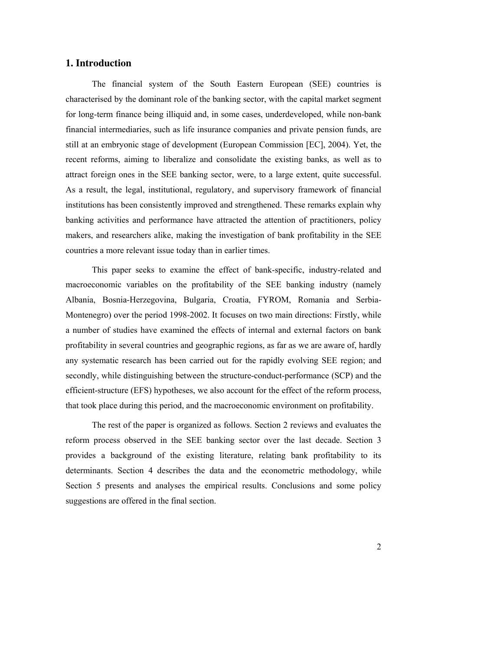# **1. Introduction**

The financial system of the South Eastern European (SEE) countries is characterised by the dominant role of the banking sector, with the capital market segment for long-term finance being illiquid and, in some cases, underdeveloped, while non-bank financial intermediaries, such as life insurance companies and private pension funds, are still at an embryonic stage of development (European Commission [EC], 2004). Yet, the recent reforms, aiming to liberalize and consolidate the existing banks, as well as to attract foreign ones in the SEE banking sector, were, to a large extent, quite successful. As a result, the legal, institutional, regulatory, and supervisory framework of financial institutions has been consistently improved and strengthened. These remarks explain why banking activities and performance have attracted the attention of practitioners, policy makers, and researchers alike, making the investigation of bank profitability in the SEE countries a more relevant issue today than in earlier times.

This paper seeks to examine the effect of bank-specific, industry-related and macroeconomic variables on the profitability of the SEE banking industry (namely Albania, Bosnia-Herzegovina, Bulgaria, Croatia, FYROM, Romania and Serbia-Montenegro) over the period 1998-2002. It focuses on two main directions: Firstly, while a number of studies have examined the effects of internal and external factors on bank profitability in several countries and geographic regions, as far as we are aware of, hardly any systematic research has been carried out for the rapidly evolving SEE region; and secondly, while distinguishing between the structure-conduct-performance (SCP) and the efficient-structure (EFS) hypotheses, we also account for the effect of the reform process, that took place during this period, and the macroeconomic environment on profitability.

The rest of the paper is organized as follows. Section 2 reviews and evaluates the reform process observed in the SEE banking sector over the last decade. Section 3 provides a background of the existing literature, relating bank profitability to its determinants. Section 4 describes the data and the econometric methodology, while Section 5 presents and analyses the empirical results. Conclusions and some policy suggestions are offered in the final section.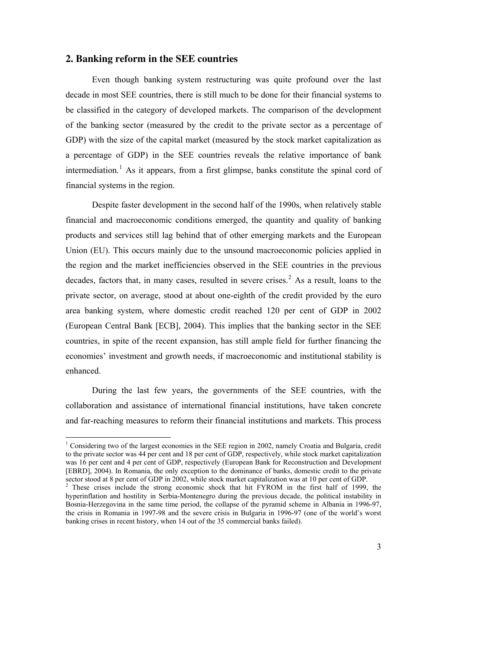## **2. Banking reform in the SEE countries**

 $\ddot{ }$ 

Even though banking system restructuring was quite profound over the last decade in most SEE countries, there is still much to be done for their financial systems to be classified in the category of developed markets. The comparison of the development of the banking sector (measured by the credit to the private sector as a percentage of GDP) with the size of the capital market (measured by the stock market capitalization as a percentage of GDP) in the SEE countries reveals the relative importance of bank intermediation.<sup>1</sup> As it appears, from a first glimpse, banks constitute the spinal cord of financial systems in the region.

Despite faster development in the second half of the 1990s, when relatively stable financial and macroeconomic conditions emerged, the quantity and quality of banking products and services still lag behind that of other emerging markets and the European Union (EU). This occurs mainly due to the unsound macroeconomic policies applied in the region and the market inefficiencies observed in the SEE countries in the previous decades, factors that, in many cases, resulted in severe crises.<sup>2</sup> As a result, loans to the private sector, on average, stood at about one-eighth of the credit provided by the euro area banking system, where domestic credit reached 120 per cent of GDP in 2002 (European Central Bank [ECB], 2004). This implies that the banking sector in the SEE countries, in spite of the recent expansion, has still ample field for further financing the economies' investment and growth needs, if macroeconomic and institutional stability is enhanced.

During the last few years, the governments of the SEE countries, with the collaboration and assistance of international financial institutions, have taken concrete and far-reaching measures to reform their financial institutions and markets. This process

<sup>&</sup>lt;sup>1</sup> Considering two of the largest economies in the SEE region in 2002, namely Croatia and Bulgaria, credit to the private sector was 44 per cent and 18 per cent of GDP, respectively, while stock market capitalization was 16 per cent and 4 per cent of GDP, respectively (European Bank for Reconstruction and Development [EBRD], 2004). In Romania, the only exception to the dominance of banks, domestic credit to the private

sector stood at 8 per cent of GDP in 2002, while stock market capitalization was at 10 per cent of GDP.<br><sup>2</sup> These crises include the strong economic shock that hit FYROM in the first half of 1999, the hyperinflation and hostility in Serbia-Montenegro during the previous decade, the political instability in Bosnia-Herzegovina in the same time period, the collapse of the pyramid scheme in Albania in 1996-97, the crisis in Romania in 1997-98 and the severe crisis in Bulgaria in 1996-97 (one of the world's worst banking crises in recent history, when 14 out of the 35 commercial banks failed).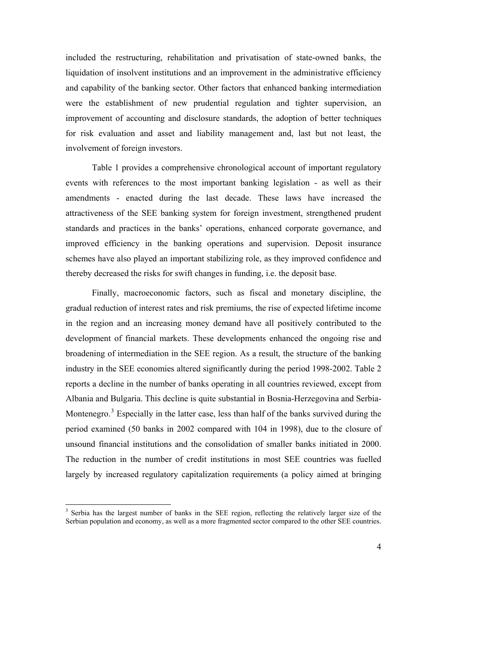included the restructuring, rehabilitation and privatisation of state-owned banks, the liquidation of insolvent institutions and an improvement in the administrative efficiency and capability of the banking sector. Other factors that enhanced banking intermediation were the establishment of new prudential regulation and tighter supervision, an improvement of accounting and disclosure standards, the adoption of better techniques for risk evaluation and asset and liability management and, last but not least, the involvement of foreign investors.

Table 1 provides a comprehensive chronological account of important regulatory events with references to the most important banking legislation - as well as their amendments - enacted during the last decade. These laws have increased the attractiveness of the SEE banking system for foreign investment, strengthened prudent standards and practices in the banks' operations, enhanced corporate governance, and improved efficiency in the banking operations and supervision. Deposit insurance schemes have also played an important stabilizing role, as they improved confidence and thereby decreased the risks for swift changes in funding, i.e. the deposit base.

Finally, macroeconomic factors, such as fiscal and monetary discipline, the gradual reduction of interest rates and risk premiums, the rise of expected lifetime income in the region and an increasing money demand have all positively contributed to the development of financial markets. These developments enhanced the ongoing rise and broadening of intermediation in the SEE region. As a result, the structure of the banking industry in the SEE economies altered significantly during the period 1998-2002. Table 2 reports a decline in the number of banks operating in all countries reviewed, except from Albania and Bulgaria. This decline is quite substantial in Bosnia-Herzegovina and Serbia-Montenegro.<sup>3</sup> Especially in the latter case, less than half of the banks survived during the period examined (50 banks in 2002 compared with 104 in 1998), due to the closure of unsound financial institutions and the consolidation of smaller banks initiated in 2000. The reduction in the number of credit institutions in most SEE countries was fuelled largely by increased regulatory capitalization requirements (a policy aimed at bringing

 $\ddot{ }$ 

<sup>&</sup>lt;sup>3</sup> Serbia has the largest number of banks in the SEE region, reflecting the relatively larger size of the Serbian population and economy, as well as a more fragmented sector compared to the other SEE countries.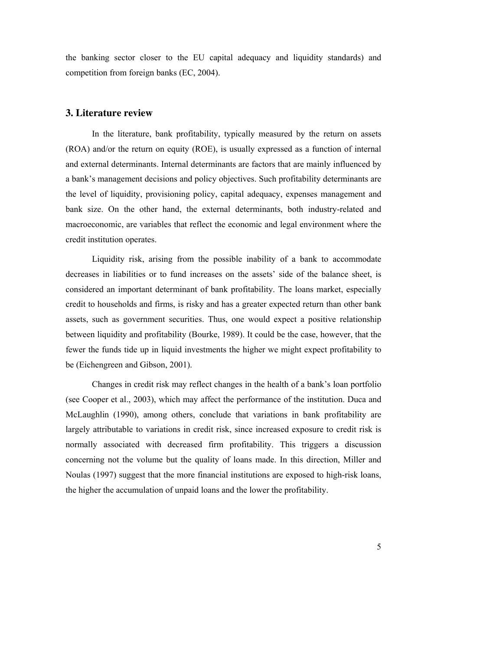the banking sector closer to the EU capital adequacy and liquidity standards) and competition from foreign banks (EC, 2004).

## **3. Literature review**

In the literature, bank profitability, typically measured by the return on assets (ROA) and/or the return on equity (ROE), is usually expressed as a function of internal and external determinants. Internal determinants are factors that are mainly influenced by a bank's management decisions and policy objectives. Such profitability determinants are the level of liquidity, provisioning policy, capital adequacy, expenses management and bank size. On the other hand, the external determinants, both industry-related and macroeconomic, are variables that reflect the economic and legal environment where the credit institution operates.

Liquidity risk, arising from the possible inability of a bank to accommodate decreases in liabilities or to fund increases on the assets' side of the balance sheet, is considered an important determinant of bank profitability. The loans market, especially credit to households and firms, is risky and has a greater expected return than other bank assets, such as government securities. Thus, one would expect a positive relationship between liquidity and profitability (Bourke, 1989). It could be the case, however, that the fewer the funds tide up in liquid investments the higher we might expect profitability to be (Eichengreen and Gibson, 2001).

Changes in credit risk may reflect changes in the health of a bank's loan portfolio (see Cooper et al., 2003), which may affect the performance of the institution. Duca and McLaughlin (1990), among others, conclude that variations in bank profitability are largely attributable to variations in credit risk, since increased exposure to credit risk is normally associated with decreased firm profitability. This triggers a discussion concerning not the volume but the quality of loans made. In this direction, Miller and Noulas (1997) suggest that the more financial institutions are exposed to high-risk loans, the higher the accumulation of unpaid loans and the lower the profitability.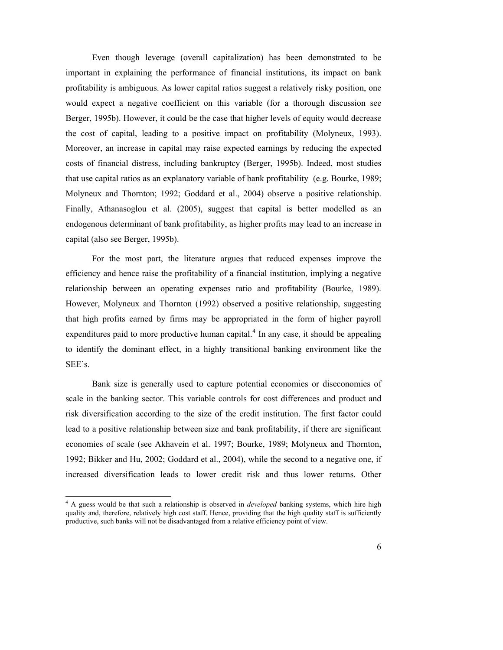Even though leverage (overall capitalization) has been demonstrated to be important in explaining the performance of financial institutions, its impact on bank profitability is ambiguous. As lower capital ratios suggest a relatively risky position, one would expect a negative coefficient on this variable (for a thorough discussion see Berger, 1995b). However, it could be the case that higher levels of equity would decrease the cost of capital, leading to a positive impact on profitability (Molyneux, 1993). Moreover, an increase in capital may raise expected earnings by reducing the expected costs of financial distress, including bankruptcy (Berger, 1995b). Indeed, most studies that use capital ratios as an explanatory variable of bank profitability (e.g. Bourke, 1989; Molyneux and Thornton; 1992; Goddard et al., 2004) observe a positive relationship. Finally, Athanasoglou et al. (2005), suggest that capital is better modelled as an endogenous determinant of bank profitability, as higher profits may lead to an increase in capital (also see Berger, 1995b).

For the most part, the literature argues that reduced expenses improve the efficiency and hence raise the profitability of a financial institution, implying a negative relationship between an operating expenses ratio and profitability (Bourke, 1989). However, Molyneux and Thornton (1992) observed a positive relationship, suggesting that high profits earned by firms may be appropriated in the form of higher payroll expenditures paid to more productive human capital.<sup>4</sup> In any case, it should be appealing to identify the dominant effect, in a highly transitional banking environment like the SEE's.

Bank size is generally used to capture potential economies or diseconomies of scale in the banking sector. This variable controls for cost differences and product and risk diversification according to the size of the credit institution. The first factor could lead to a positive relationship between size and bank profitability, if there are significant economies of scale (see Akhavein et al. 1997; Bourke, 1989; Molyneux and Thornton, 1992; Bikker and Hu, 2002; Goddard et al., 2004), while the second to a negative one, if increased diversification leads to lower credit risk and thus lower returns. Other

 $\ddot{ }$ 

<sup>4</sup> A guess would be that such a relationship is observed in *developed* banking systems, which hire high quality and, therefore, relatively high cost staff. Hence, providing that the high quality staff is sufficiently productive, such banks will not be disadvantaged from a relative efficiency point of view.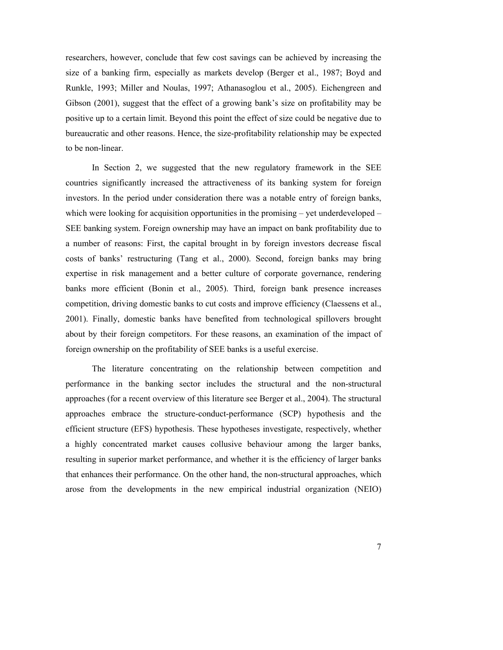researchers, however, conclude that few cost savings can be achieved by increasing the size of a banking firm, especially as markets develop (Berger et al., 1987; Boyd and Runkle, 1993; Miller and Noulas, 1997; Athanasoglou et al., 2005). Eichengreen and Gibson (2001), suggest that the effect of a growing bank's size on profitability may be positive up to a certain limit. Beyond this point the effect of size could be negative due to bureaucratic and other reasons. Hence, the size-profitability relationship may be expected to be non-linear.

In Section 2, we suggested that the new regulatory framework in the SEE countries significantly increased the attractiveness of its banking system for foreign investors. In the period under consideration there was a notable entry of foreign banks, which were looking for acquisition opportunities in the promising – yet underdeveloped – SEE banking system. Foreign ownership may have an impact on bank profitability due to a number of reasons: First, the capital brought in by foreign investors decrease fiscal costs of banks' restructuring (Tang et al., 2000). Second, foreign banks may bring expertise in risk management and a better culture of corporate governance, rendering banks more efficient (Bonin et al., 2005). Third, foreign bank presence increases competition, driving domestic banks to cut costs and improve efficiency (Claessens et al., 2001). Finally, domestic banks have benefited from technological spillovers brought about by their foreign competitors. For these reasons, an examination of the impact of foreign ownership on the profitability of SEE banks is a useful exercise.

The literature concentrating on the relationship between competition and performance in the banking sector includes the structural and the non-structural approaches (for a recent overview of this literature see Berger et al., 2004). The structural approaches embrace the structure-conduct-performance (SCP) hypothesis and the efficient structure (EFS) hypothesis. These hypotheses investigate, respectively, whether a highly concentrated market causes collusive behaviour among the larger banks, resulting in superior market performance, and whether it is the efficiency of larger banks that enhances their performance. On the other hand, the non-structural approaches, which arose from the developments in the new empirical industrial organization (NEIO)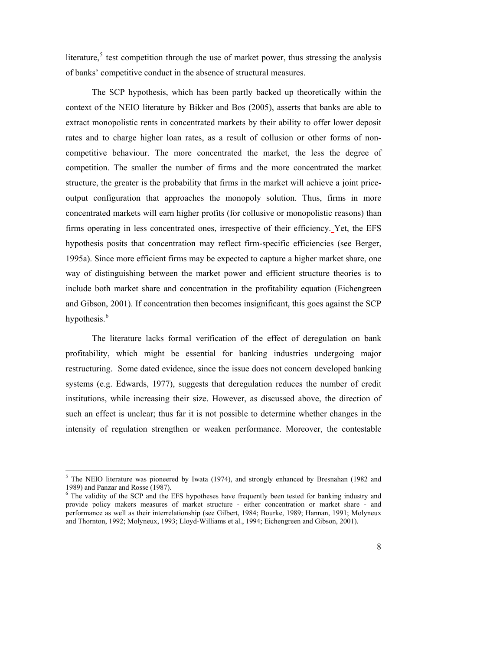literature,<sup>5</sup> test competition through the use of market power, thus stressing the analysis of banks' competitive conduct in the absence of structural measures.

The SCP hypothesis, which has been partly backed up theoretically within the context of the NEIO literature by Bikker and Bos (2005), asserts that banks are able to extract monopolistic rents in concentrated markets by their ability to offer lower deposit rates and to charge higher loan rates, as a result of collusion or other forms of noncompetitive behaviour. The more concentrated the market, the less the degree of competition. The smaller the number of firms and the more concentrated the market structure, the greater is the probability that firms in the market will achieve a joint priceoutput configuration that approaches the monopoly solution. Thus, firms in more concentrated markets will earn higher profits (for collusive or monopolistic reasons) than firms operating in less concentrated ones, irrespective of their efficiency. Yet, the EFS hypothesis posits that concentration may reflect firm-specific efficiencies (see Berger, 1995a). Since more efficient firms may be expected to capture a higher market share, one way of distinguishing between the market power and efficient structure theories is to include both market share and concentration in the profitability equation (Eichengreen and Gibson, 2001). If concentration then becomes insignificant, this goes against the SCP hypothesis.<sup>6</sup>

The literature lacks formal verification of the effect of deregulation on bank profitability, which might be essential for banking industries undergoing major restructuring. Some dated evidence, since the issue does not concern developed banking systems (e.g. Edwards, 1977), suggests that deregulation reduces the number of credit institutions, while increasing their size. However, as discussed above, the direction of such an effect is unclear; thus far it is not possible to determine whether changes in the intensity of regulation strengthen or weaken performance. Moreover, the contestable

 $\ddot{ }$ 

<sup>&</sup>lt;sup>5</sup> The NEIO literature was pioneered by Iwata (1974), and strongly enhanced by Bresnahan (1982 and 1989) and Panzar and Rosse (1987).

<sup>&</sup>lt;sup>6</sup> The validity of the SCP and the EFS hypotheses have frequently been tested for banking industry and provide policy makers measures of market structure - either concentration or market share - and performance as well as their interrelationship (see Gilbert, 1984; Bourke, 1989; Hannan, 1991; Molyneux and Thornton, 1992; Molyneux, 1993; Lloyd-Williams et al., 1994; Eichengreen and Gibson, 2001).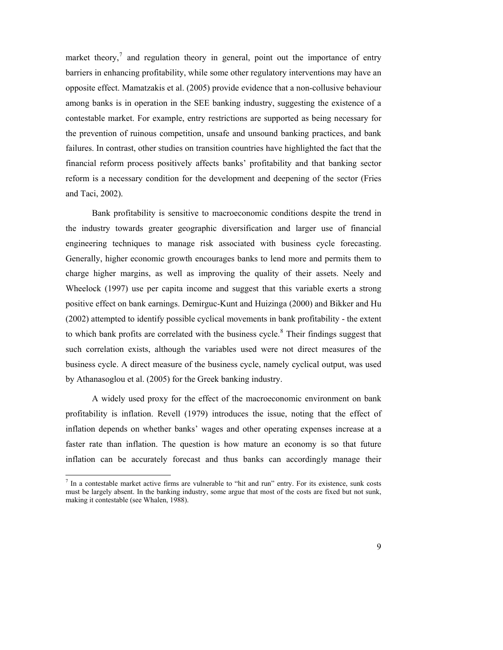market theory, $\frac{7}{1}$  and regulation theory in general, point out the importance of entry barriers in enhancing profitability, while some other regulatory interventions may have an opposite effect. Mamatzakis et al. (2005) provide evidence that a non-collusive behaviour among banks is in operation in the SEE banking industry, suggesting the existence of a contestable market. For example, entry restrictions are supported as being necessary for the prevention of ruinous competition, unsafe and unsound banking practices, and bank failures. In contrast, other studies on transition countries have highlighted the fact that the financial reform process positively affects banks' profitability and that banking sector reform is a necessary condition for the development and deepening of the sector (Fries and Taci, 2002).

Bank profitability is sensitive to macroeconomic conditions despite the trend in the industry towards greater geographic diversification and larger use of financial engineering techniques to manage risk associated with business cycle forecasting. Generally, higher economic growth encourages banks to lend more and permits them to charge higher margins, as well as improving the quality of their assets. Neely and Wheelock (1997) use per capita income and suggest that this variable exerts a strong positive effect on bank earnings. Demirguc-Kunt and Huizinga (2000) and Bikker and Hu (2002) attempted to identify possible cyclical movements in bank profitability - the extent to which bank profits are correlated with the business cycle.<sup>8</sup> Their findings suggest that such correlation exists, although the variables used were not direct measures of the business cycle. A direct measure of the business cycle, namely cyclical output, was used by Athanasoglou et al. (2005) for the Greek banking industry.

A widely used proxy for the effect of the macroeconomic environment on bank profitability is inflation. Revell (1979) introduces the issue, noting that the effect of inflation depends on whether banks' wages and other operating expenses increase at a faster rate than inflation. The question is how mature an economy is so that future inflation can be accurately forecast and thus banks can accordingly manage their

 $\overline{a}$ 

<sup>7</sup> In a contestable market active firms are vulnerable to "hit and run" entry. For its existence, sunk costs must be largely absent. In the banking industry, some argue that most of the costs are fixed but not sunk, making it contestable (see Whalen, 1988).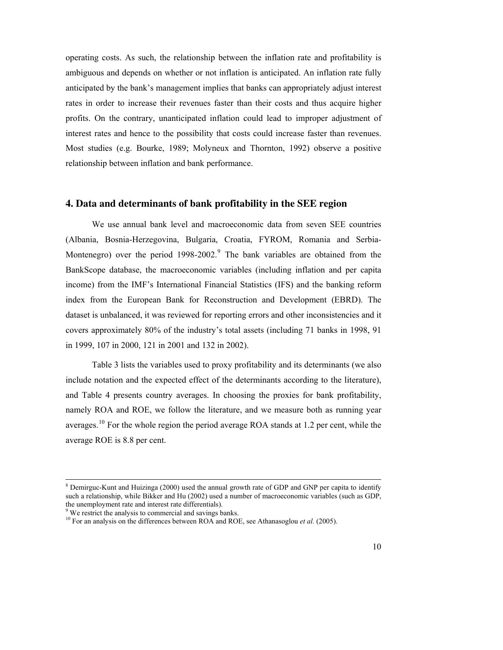operating costs. As such, the relationship between the inflation rate and profitability is ambiguous and depends on whether or not inflation is anticipated. An inflation rate fully anticipated by the bank's management implies that banks can appropriately adjust interest rates in order to increase their revenues faster than their costs and thus acquire higher profits. On the contrary, unanticipated inflation could lead to improper adjustment of interest rates and hence to the possibility that costs could increase faster than revenues. Most studies (e.g. Bourke, 1989; Molyneux and Thornton, 1992) observe a positive relationship between inflation and bank performance.

## **4. Data and determinants of bank profitability in the SEE region**

We use annual bank level and macroeconomic data from seven SEE countries (Albania, Bosnia-Herzegovina, Bulgaria, Croatia, FYROM, Romania and Serbia-Montenegro) over the period  $1998-2002$ .<sup>9</sup> The bank variables are obtained from the BankScope database, the macroeconomic variables (including inflation and per capita income) from the IMF's International Financial Statistics (IFS) and the banking reform index from the European Bank for Reconstruction and Development (EBRD). The dataset is unbalanced, it was reviewed for reporting errors and other inconsistencies and it covers approximately 80% of the industry's total assets (including 71 banks in 1998, 91 in 1999, 107 in 2000, 121 in 2001 and 132 in 2002).

Table 3 lists the variables used to proxy profitability and its determinants (we also include notation and the expected effect of the determinants according to the literature), and Table 4 presents country averages. In choosing the proxies for bank profitability, namely ROA and ROE, we follow the literature, and we measure both as running year averages.<sup>10</sup> For the whole region the period average ROA stands at 1.2 per cent, while the average ROE is 8.8 per cent.

 8 Demirguc-Kunt and Huizinga (2000) used the annual growth rate of GDP and GNP per capita to identify such a relationship, while Bikker and Hu (2002) used a number of macroeconomic variables (such as GDP, the unemployment rate and interest rate differentials).

<sup>&</sup>lt;sup>9</sup> We restrict the analysis to commercial and savings banks.

<sup>&</sup>lt;sup>10</sup> For an analysis on the differences between ROA and ROE, see Athanasoglou *et al.* (2005).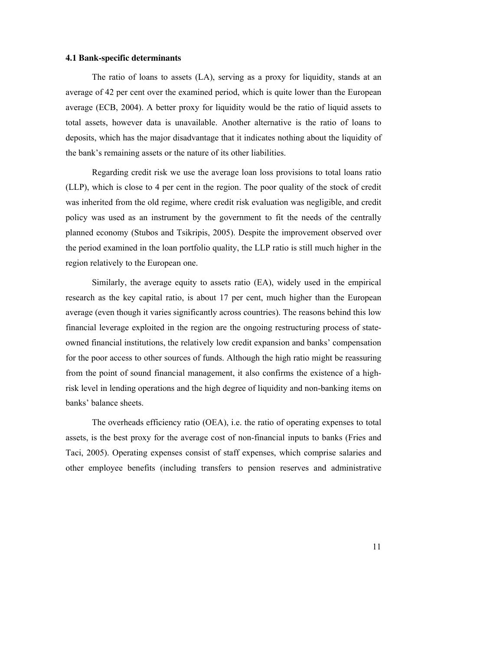#### **4.1 Bank-specific determinants**

The ratio of loans to assets (LA), serving as a proxy for liquidity, stands at an average of 42 per cent over the examined period, which is quite lower than the European average (ECB, 2004). A better proxy for liquidity would be the ratio of liquid assets to total assets, however data is unavailable. Another alternative is the ratio of loans to deposits, which has the major disadvantage that it indicates nothing about the liquidity of the bank's remaining assets or the nature of its other liabilities.

Regarding credit risk we use the average loan loss provisions to total loans ratio (LLP), which is close to 4 per cent in the region. The poor quality of the stock of credit was inherited from the old regime, where credit risk evaluation was negligible, and credit policy was used as an instrument by the government to fit the needs of the centrally planned economy (Stubos and Tsikripis, 2005). Despite the improvement observed over the period examined in the loan portfolio quality, the LLP ratio is still much higher in the region relatively to the European one.

Similarly, the average equity to assets ratio (EA), widely used in the empirical research as the key capital ratio, is about 17 per cent, much higher than the European average (even though it varies significantly across countries). The reasons behind this low financial leverage exploited in the region are the ongoing restructuring process of stateowned financial institutions, the relatively low credit expansion and banks' compensation for the poor access to other sources of funds. Although the high ratio might be reassuring from the point of sound financial management, it also confirms the existence of a highrisk level in lending operations and the high degree of liquidity and non-banking items on banks' balance sheets.

The overheads efficiency ratio (OEA), i.e. the ratio of operating expenses to total assets, is the best proxy for the average cost of non-financial inputs to banks (Fries and Taci, 2005). Operating expenses consist of staff expenses, which comprise salaries and other employee benefits (including transfers to pension reserves and administrative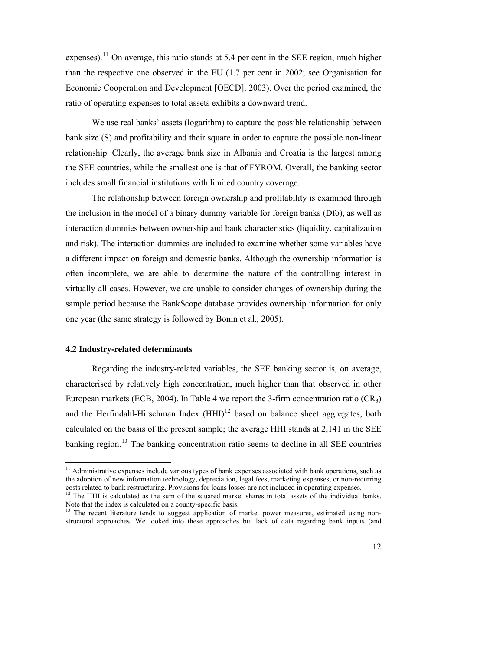expenses).<sup>11</sup> On average, this ratio stands at 5.4 per cent in the SEE region, much higher than the respective one observed in the EU (1.7 per cent in 2002; see Organisation for Economic Cooperation and Development [OECD], 2003). Over the period examined, the ratio of operating expenses to total assets exhibits a downward trend.

We use real banks' assets (logarithm) to capture the possible relationship between bank size (S) and profitability and their square in order to capture the possible non-linear relationship. Clearly, the average bank size in Albania and Croatia is the largest among the SEE countries, while the smallest one is that of FYROM. Overall, the banking sector includes small financial institutions with limited country coverage.

The relationship between foreign ownership and profitability is examined through the inclusion in the model of a binary dummy variable for foreign banks (Dfo), as well as interaction dummies between ownership and bank characteristics (liquidity, capitalization and risk). The interaction dummies are included to examine whether some variables have a different impact on foreign and domestic banks. Although the ownership information is often incomplete, we are able to determine the nature of the controlling interest in virtually all cases. However, we are unable to consider changes of ownership during the sample period because the BankScope database provides ownership information for only one year (the same strategy is followed by Bonin et al., 2005).

#### **4.2 Industry-related determinants**

 $\ddot{ }$ 

Regarding the industry-related variables, the SEE banking sector is, on average, characterised by relatively high concentration, much higher than that observed in other European markets (ECB, 2004). In Table 4 we report the 3-firm concentration ratio (CR<sub>3</sub>) and the Herfindahl-Hirschman Index  $(HHI)^{12}$  based on balance sheet aggregates, both calculated on the basis of the present sample; the average HHI stands at 2,141 in the SEE banking region.<sup>13</sup> The banking concentration ratio seems to decline in all SEE countries

 $11$  Administrative expenses include various types of bank expenses associated with bank operations, such as the adoption of new information technology, depreciation, legal fees, marketing expenses, or non-recurring costs related to bank restructuring. Provisions for loans losses are not included in operating expenses.

 $12$  The HHI is calculated as the sum of the squared market shares in total assets of the individual banks. Note that the index is calculated on a county-specific basis.

<sup>&</sup>lt;sup>13</sup> The recent literature tends to suggest application of market power measures, estimated using nonstructural approaches. We looked into these approaches but lack of data regarding bank inputs (and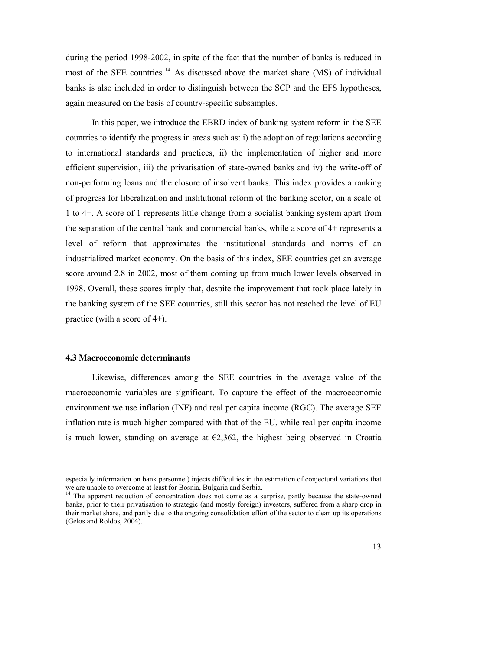during the period 1998-2002, in spite of the fact that the number of banks is reduced in most of the SEE countries.<sup>14</sup> As discussed above the market share  $(MS)$  of individual banks is also included in order to distinguish between the SCP and the EFS hypotheses, again measured on the basis of country-specific subsamples.

In this paper, we introduce the EBRD index of banking system reform in the SEE countries to identify the progress in areas such as: i) the adoption of regulations according to international standards and practices, ii) the implementation of higher and more efficient supervision, iii) the privatisation of state-owned banks and iv) the write-off of non-performing loans and the closure of insolvent banks. This index provides a ranking of progress for liberalization and institutional reform of the banking sector, on a scale of 1 to 4+. A score of 1 represents little change from a socialist banking system apart from the separation of the central bank and commercial banks, while a score of 4+ represents a level of reform that approximates the institutional standards and norms of an industrialized market economy. On the basis of this index, SEE countries get an average score around 2.8 in 2002, most of them coming up from much lower levels observed in 1998. Overall, these scores imply that, despite the improvement that took place lately in the banking system of the SEE countries, still this sector has not reached the level of EU practice (with a score of 4+).

#### **4.3 Macroeconomic determinants**

 $\ddot{ }$ 

Likewise, differences among the SEE countries in the average value of the macroeconomic variables are significant. To capture the effect of the macroeconomic environment we use inflation (INF) and real per capita income (RGC). The average SEE inflation rate is much higher compared with that of the EU, while real per capita income is much lower, standing on average at  $E$ 2,362, the highest being observed in Croatia

especially information on bank personnel) injects difficulties in the estimation of conjectural variations that we are unable to overcome at least for Bosnia, Bulgaria and Serbia.

<sup>&</sup>lt;sup>14</sup> The apparent reduction of concentration does not come as a surprise, partly because the state-owned banks, prior to their privatisation to strategic (and mostly foreign) investors, suffered from a sharp drop in their market share, and partly due to the ongoing consolidation effort of the sector to clean up its operations (Gelos and Roldos, 2004).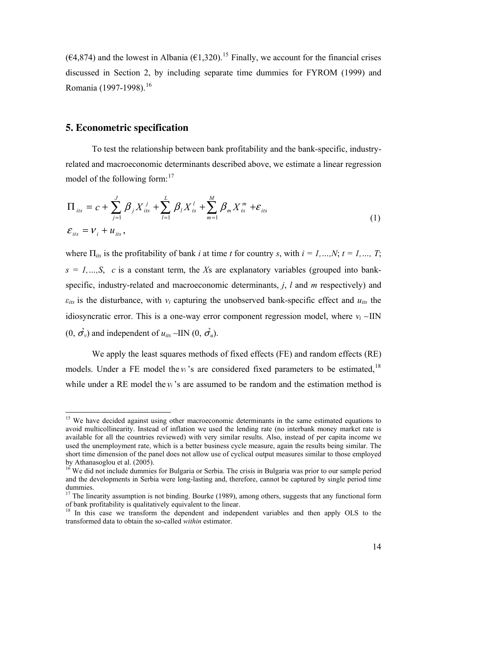( $\epsilon$ 4,874) and the lowest in Albania ( $\epsilon$ 1,320).<sup>15</sup> Finally, we account for the financial crises discussed in Section 2, by including separate time dummies for FYROM (1999) and Romania (1997-1998).<sup>16</sup>

## **5. Econometric specification**

 $\overline{a}$ 

To test the relationship between bank profitability and the bank-specific, industryrelated and macroeconomic determinants described above, we estimate a linear regression model of the following form:<sup>17</sup>

$$
\Pi_{_{its}} = c + \sum_{j=1}^{J} \beta_j X_{_{its}}^j + \sum_{l=1}^{L} \beta_l X_{_{ls}}^l + \sum_{m=1}^{M} \beta_m X_{_{ts}}^m + \varepsilon_{_{its}}
$$
\n
$$
\varepsilon_{_{its}} = v_i + u_{_{its}},
$$
\n(1)

where  $\Pi_{ik}$  is the profitability of bank *i* at time *t* for country *s*, with  $i = 1, ..., N$ ;  $t = 1, ..., T$ ; *s = 1,…,S*, *c* is a constant term, the *Χ*s are explanatory variables (grouped into bankspecific, industry-related and macroeconomic determinants, *j*, *l* and *m* respectively) and  $\varepsilon$ *its* is the disturbance, with  $v_i$  capturing the unobserved bank-specific effect and  $u_{its}$  the idiosyncratic error. This is a one-way error component regression model, where  $v_i$  ∼ IIN  $(0, \vec{\sigma}_v)$  and independent of  $u_{its}$  ~IIN  $(0, \vec{\sigma}_u)$ .

models. Under a FE model the  $v_i$ 's are considered fixed parameters to be estimated,<sup>18</sup> while under a RE model the  $v_i$ 's are assumed to be random and the estimation method is We apply the least squares methods of fixed effects (FE) and random effects (RE)

<sup>&</sup>lt;sup>15</sup> We have decided against using other macroeconomic determinants in the same estimated equations to avoid multicollinearity. Instead of inflation we used the lending rate (no interbank money market rate is available for all the countries reviewed) with very similar results. Also, instead of per capita income we used the unemployment rate, which is a better business cycle measure, again the results being similar. The short time dimension of the panel does not allow use of cyclical output measures similar to those employed by Athanasoglou et al. (2005).

<sup>&</sup>lt;sup>16</sup> We did not include dummies for Bulgaria or Serbia. The crisis in Bulgaria was prior to our sample period and the developments in Serbia were long-lasting and, therefore, cannot be captured by single period time dummies.

<sup>&</sup>lt;sup>17</sup> The linearity assumption is not binding. Bourke (1989), among others, suggests that any functional form of bank profitability is qualitatively equivalent to the linear.

<sup>&</sup>lt;sup>18</sup> In this case we transform the dependent and independent variables and then apply OLS to the transformed data to obtain the so-called *within* estimator.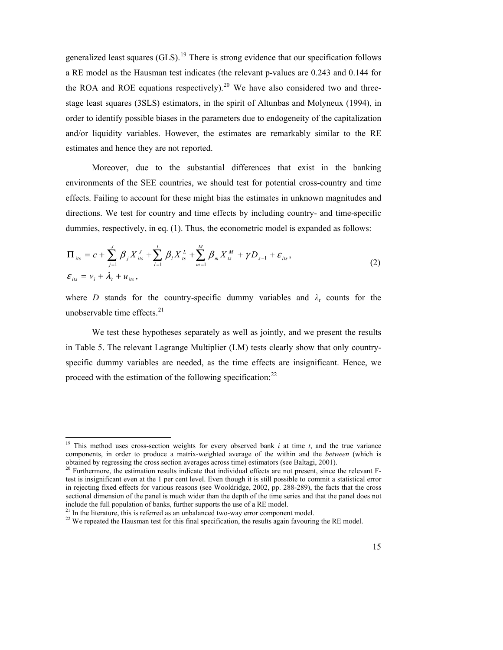generalized least squares  $(GLS)$ .<sup>19</sup> There is strong evidence that our specification follows a RE model as the Hausman test indicates (the relevant p-values are 0.243 and 0.144 for the ROA and ROE equations respectively).<sup>20</sup> We have also considered two and threestage least squares (3SLS) estimators, in the spirit of Altunbas and Molyneux (1994), in order to identify possible biases in the parameters due to endogeneity of the capitalization and/or liquidity variables. However, the estimates are remarkably similar to the RE estimates and hence they are not reported.

Moreover, due to the substantial differences that exist in the banking environments of the SEE countries, we should test for potential cross-country and time effects. Failing to account for these might bias the estimates in unknown magnitudes and directions. We test for country and time effects by including country- and time-specific dummies, respectively, in eq. (1). Thus, the econometric model is expanded as follows:

$$
\Pi_{_{its}} = c + \sum_{j=1}^{J} \beta_j X_{_{its}}^J + \sum_{l=1}^{L} \beta_l X_{_{ls}}^L + \sum_{m=1}^{M} \beta_m X_{_{ls}}^M + \gamma D_{_{s-1}} + \varepsilon_{_{its}},
$$
\n
$$
\varepsilon_{_{its}} = v_i + \lambda_t + u_{_{its}},
$$
\n(2)

where *D* stands for the country-specific dummy variables and  $\lambda$ <sup>*τ*</sup> counts for the unobservable time effects.<sup>21</sup>

We test these hypotheses separately as well as jointly, and we present the results in Table 5. The relevant Lagrange Multiplier (LM) tests clearly show that only countryspecific dummy variables are needed, as the time effects are insignificant. Hence, we proceed with the estimation of the following specification: $^{22}$ 

 $\ddot{ }$ 

<sup>&</sup>lt;sup>19</sup> This method uses cross-section weights for every observed bank *i* at time  $t$ , and the true variance components, in order to produce a matrix-weighted average of the within and the *between* (which is obtained by regressing the cross section averages across time) estimators (see Baltagi, 2001).

 $20$  Furthermore, the estimation results indicate that individual effects are not present, since the relevant Ftest is insignificant even at the 1 per cent level. Even though it is still possible to commit a statistical error in rejecting fixed effects for various reasons (see Wooldridge, 2002, pp. 288-289), the facts that the cross sectional dimension of the panel is much wider than the depth of the time series and that the panel does not include the full population of banks, further supports the use of a RE model.

<sup>&</sup>lt;sup>21</sup> In the literature, this is referred as an unbalanced two-way error component model.

<sup>&</sup>lt;sup>22</sup> We repeated the Hausman test for this final specification, the results again favouring the RE model.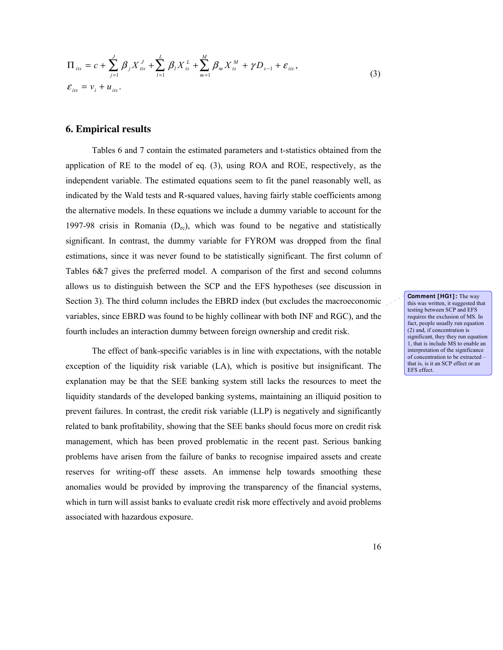$$
\Pi_{_{its}} = c + \sum_{j=1}^{J} \beta_j X_{_{its}}^J + \sum_{l=1}^{L} \beta_l X_{_{ts}}^L + \sum_{m=1}^{M} \beta_m X_{_{ts}}^M + \gamma D_{_{s-1}} + \varepsilon_{_{its}},
$$
\n
$$
\varepsilon_{_{its}} = v_i + u_{_{its}}.
$$
\n(3)

### **6. Empirical results**

Tables 6 and 7 contain the estimated parameters and t-statistics obtained from the application of RE to the model of eq. (3), using ROA and ROE, respectively, as the independent variable. The estimated equations seem to fit the panel reasonably well, as indicated by the Wald tests and R-squared values, having fairly stable coefficients among the alternative models. In these equations we include a dummy variable to account for the 1997-98 crisis in Romania  $(D_{rc})$ , which was found to be negative and statistically significant. In contrast, the dummy variable for FYROM was dropped from the final estimations, since it was never found to be statistically significant. The first column of Tables 6&7 gives the preferred model. A comparison of the first and second columns allows us to distinguish between the SCP and the EFS hypotheses (see discussion in Section 3). The third column includes the EBRD index (but excludes the macroeconomic variables, since EBRD was found to be highly collinear with both INF and RGC), and the fourth includes an interaction dummy between foreign ownership and credit risk.

The effect of bank-specific variables is in line with expectations, with the notable exception of the liquidity risk variable (LA), which is positive but insignificant. The explanation may be that the SEE banking system still lacks the resources to meet the liquidity standards of the developed banking systems, maintaining an illiquid position to prevent failures. In contrast, the credit risk variable (LLP) is negatively and significantly related to bank profitability, showing that the SEE banks should focus more on credit risk management, which has been proved problematic in the recent past. Serious banking problems have arisen from the failure of banks to recognise impaired assets and create reserves for writing-off these assets. An immense help towards smoothing these anomalies would be provided by improving the transparency of the financial systems, which in turn will assist banks to evaluate credit risk more effectively and avoid problems associated with hazardous exposure.

**Comment [HG1]:** The way this was written, it suggested that testing between SCP and EFS requires the exclusion of MS. In fact, people usually run equation (2) and, if concentration is significant, they they run equation 1, that is include MS to enable an interpretation of the significance of concentration to be extracted – that is, is it an SCP effect or an EFS effect.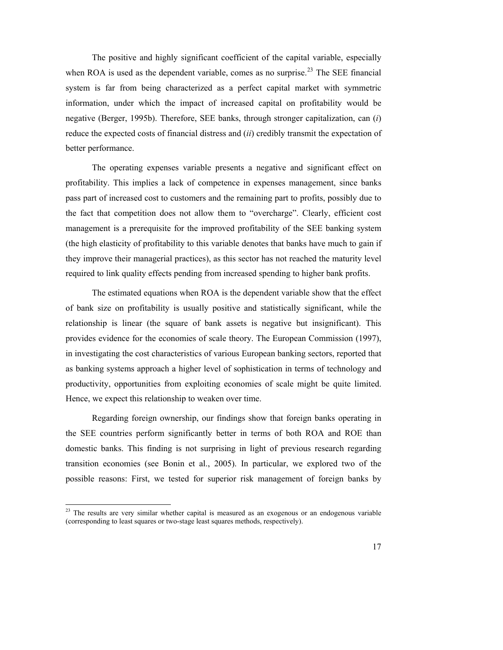The positive and highly significant coefficient of the capital variable, especially when ROA is used as the dependent variable, comes as no surprise.<sup>23</sup> The SEE financial system is far from being characterized as a perfect capital market with symmetric information, under which the impact of increased capital on profitability would be negative (Berger, 1995b). Therefore, SEE banks, through stronger capitalization, can (*i*) reduce the expected costs of financial distress and (*ii*) credibly transmit the expectation of better performance.

The operating expenses variable presents a negative and significant effect on profitability. This implies a lack of competence in expenses management, since banks pass part of increased cost to customers and the remaining part to profits, possibly due to the fact that competition does not allow them to "overcharge". Clearly, efficient cost management is a prerequisite for the improved profitability of the SEE banking system (the high elasticity of profitability to this variable denotes that banks have much to gain if they improve their managerial practices), as this sector has not reached the maturity level required to link quality effects pending from increased spending to higher bank profits.

The estimated equations when ROA is the dependent variable show that the effect of bank size on profitability is usually positive and statistically significant, while the relationship is linear (the square of bank assets is negative but insignificant). This provides evidence for the economies of scale theory. The European Commission (1997), in investigating the cost characteristics of various European banking sectors, reported that as banking systems approach a higher level of sophistication in terms of technology and productivity, opportunities from exploiting economies of scale might be quite limited. Hence, we expect this relationship to weaken over time.

Regarding foreign ownership, our findings show that foreign banks operating in the SEE countries perform significantly better in terms of both ROA and ROE than domestic banks. This finding is not surprising in light of previous research regarding transition economies (see Bonin et al., 2005). In particular, we explored two of the possible reasons: First, we tested for superior risk management of foreign banks by

 $\ddot{ }$ 

 $2<sup>23</sup>$  The results are very similar whether capital is measured as an exogenous or an endogenous variable (corresponding to least squares or two-stage least squares methods, respectively).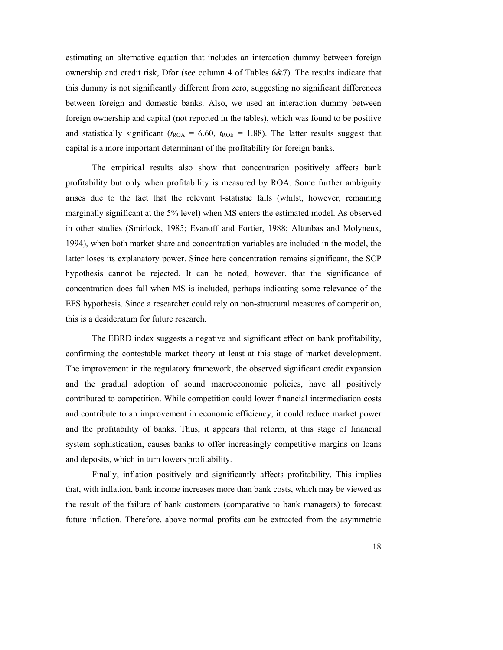estimating an alternative equation that includes an interaction dummy between foreign ownership and credit risk, Dfor (see column 4 of Tables 6&7). The results indicate that this dummy is not significantly different from zero, suggesting no significant differences between foreign and domestic banks. Also, we used an interaction dummy between foreign ownership and capital (not reported in the tables), which was found to be positive and statistically significant ( $t_{\text{ROA}} = 6.60$ ,  $t_{\text{ROE}} = 1.88$ ). The latter results suggest that capital is a more important determinant of the profitability for foreign banks.

The empirical results also show that concentration positively affects bank profitability but only when profitability is measured by ROA. Some further ambiguity arises due to the fact that the relevant t-statistic falls (whilst, however, remaining marginally significant at the 5% level) when MS enters the estimated model. As observed in other studies (Smirlock, 1985; Evanoff and Fortier, 1988; Altunbas and Molyneux, 1994), when both market share and concentration variables are included in the model, the latter loses its explanatory power. Since here concentration remains significant, the SCP hypothesis cannot be rejected. It can be noted, however, that the significance of concentration does fall when MS is included, perhaps indicating some relevance of the EFS hypothesis. Since a researcher could rely on non-structural measures of competition, this is a desideratum for future research.

The EBRD index suggests a negative and significant effect on bank profitability, confirming the contestable market theory at least at this stage of market development. The improvement in the regulatory framework, the observed significant credit expansion and the gradual adoption of sound macroeconomic policies, have all positively contributed to competition. While competition could lower financial intermediation costs and contribute to an improvement in economic efficiency, it could reduce market power and the profitability of banks. Thus, it appears that reform, at this stage of financial system sophistication, causes banks to offer increasingly competitive margins on loans and deposits, which in turn lowers profitability.

Finally, inflation positively and significantly affects profitability. This implies that, with inflation, bank income increases more than bank costs, which may be viewed as the result of the failure of bank customers (comparative to bank managers) to forecast future inflation. Therefore, above normal profits can be extracted from the asymmetric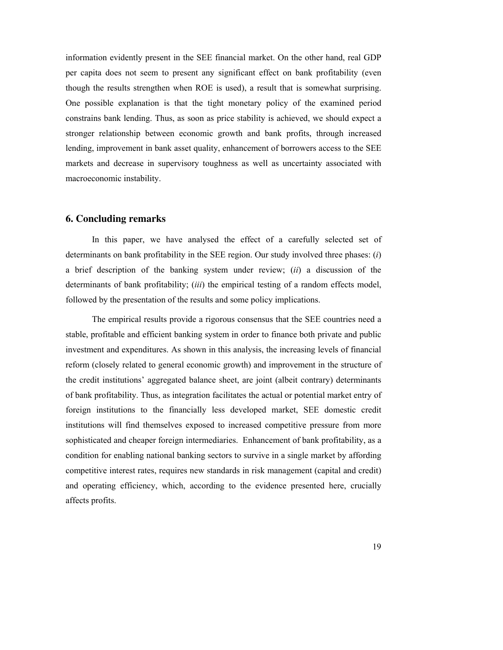information evidently present in the SEE financial market. On the other hand, real GDP per capita does not seem to present any significant effect on bank profitability (even though the results strengthen when ROE is used), a result that is somewhat surprising. One possible explanation is that the tight monetary policy of the examined period constrains bank lending. Thus, as soon as price stability is achieved, we should expect a stronger relationship between economic growth and bank profits, through increased lending, improvement in bank asset quality, enhancement of borrowers access to the SEE markets and decrease in supervisory toughness as well as uncertainty associated with macroeconomic instability.

## **6. Concluding remarks**

In this paper, we have analysed the effect of a carefully selected set of determinants on bank profitability in the SEE region. Our study involved three phases: (*i*) a brief description of the banking system under review; (*ii*) a discussion of the determinants of bank profitability; (*iii*) the empirical testing of a random effects model, followed by the presentation of the results and some policy implications.

The empirical results provide a rigorous consensus that the SEE countries need a stable, profitable and efficient banking system in order to finance both private and public investment and expenditures. As shown in this analysis, the increasing levels of financial reform (closely related to general economic growth) and improvement in the structure of the credit institutions' aggregated balance sheet, are joint (albeit contrary) determinants of bank profitability. Thus, as integration facilitates the actual or potential market entry of foreign institutions to the financially less developed market, SEE domestic credit institutions will find themselves exposed to increased competitive pressure from more sophisticated and cheaper foreign intermediaries. Enhancement of bank profitability, as a condition for enabling national banking sectors to survive in a single market by affording competitive interest rates, requires new standards in risk management (capital and credit) and operating efficiency, which, according to the evidence presented here, crucially affects profits.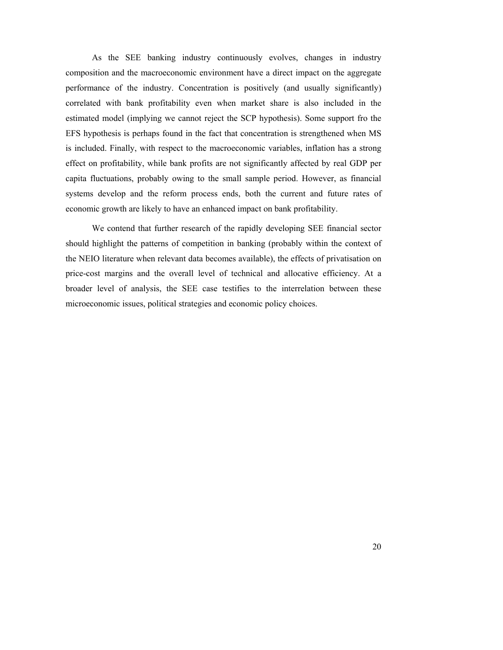As the SEE banking industry continuously evolves, changes in industry composition and the macroeconomic environment have a direct impact on the aggregate performance of the industry. Concentration is positively (and usually significantly) correlated with bank profitability even when market share is also included in the estimated model (implying we cannot reject the SCP hypothesis). Some support fro the EFS hypothesis is perhaps found in the fact that concentration is strengthened when MS is included. Finally, with respect to the macroeconomic variables, inflation has a strong effect on profitability, while bank profits are not significantly affected by real GDP per capita fluctuations, probably owing to the small sample period. However, as financial systems develop and the reform process ends, both the current and future rates of economic growth are likely to have an enhanced impact on bank profitability.

We contend that further research of the rapidly developing SEE financial sector should highlight the patterns of competition in banking (probably within the context of the NEIO literature when relevant data becomes available), the effects of privatisation on price-cost margins and the overall level of technical and allocative efficiency. At a broader level of analysis, the SEE case testifies to the interrelation between these microeconomic issues, political strategies and economic policy choices.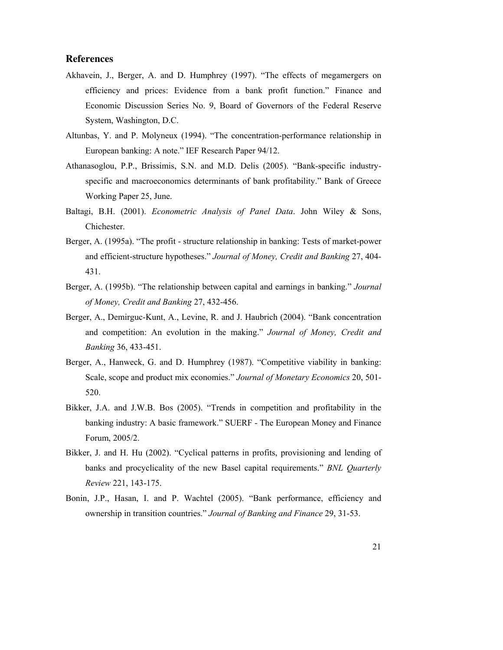# **References**

- Akhavein, J., Berger, A. and D. Humphrey (1997). "The effects of megamergers on efficiency and prices: Evidence from a bank profit function." Finance and Economic Discussion Series No. 9, Board of Governors of the Federal Reserve System, Washington, D.C.
- Altunbas, Y. and P. Molyneux (1994). "The concentration-performance relationship in European banking: A note." IEF Research Paper 94/12.
- Athanasoglou, P.P., Brissimis, S.N. and M.D. Delis (2005). "Bank-specific industryspecific and macroeconomics determinants of bank profitability." Bank of Greece Working Paper 25, June.
- Baltagi, B.H. (2001). *Econometric Analysis of Panel Data*. John Wiley & Sons, Chichester.
- Berger, A. (1995a). "The profit structure relationship in banking: Tests of market-power and efficient-structure hypotheses." *Journal of Money, Credit and Banking* 27, 404- 431.
- Berger, A. (1995b). "The relationship between capital and earnings in banking." *Journal of Money, Credit and Banking* 27, 432-456.
- Berger, A., Demirguc-Kunt, A., Levine, R. and J. Haubrich (2004). "Bank concentration and competition: An evolution in the making." *Journal of Money, Credit and Banking* 36, 433-451.
- Berger, A., Hanweck, G. and D. Humphrey (1987). "Competitive viability in banking: Scale, scope and product mix economies." *Journal of Monetary Economics* 20, 501- 520.
- Bikker, J.A. and J.W.B. Bos (2005). "Trends in competition and profitability in the banking industry: A basic framework." SUERF - The European Money and Finance Forum, 2005/2.
- Bikker, J. and H. Hu (2002). "Cyclical patterns in profits, provisioning and lending of banks and procyclicality of the new Basel capital requirements." *BNL Quarterly Review* 221, 143-175.
- Bonin, J.P., Hasan, I. and P. Wachtel (2005). "Bank performance, efficiency and ownership in transition countries." *Journal of Banking and Finance* 29, 31-53.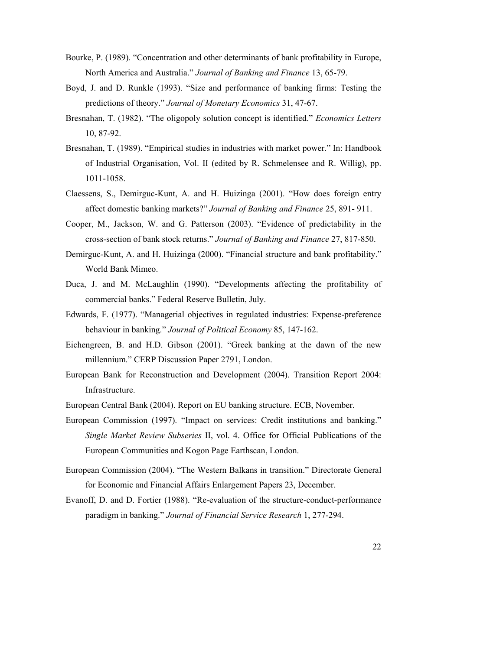- Bourke, P. (1989). "Concentration and other determinants of bank profitability in Europe, North America and Australia." *Journal of Banking and Finance* 13, 65-79.
- Boyd, J. and D. Runkle (1993). "Size and performance of banking firms: Testing the predictions of theory." *Journal of Monetary Economics* 31, 47-67.
- Bresnahan, T. (1982). "The oligopoly solution concept is identified." *Economics Letters* 10, 87-92.
- Bresnahan, T. (1989). "Empirical studies in industries with market power." In: Handbook of Industrial Organisation, Vol. II (edited by R. Schmelensee and R. Willig), pp. 1011-1058.
- Claessens, S., Demirguc-Kunt, A. and H. Huizinga (2001). "How does foreign entry affect domestic banking markets?" *Journal of Banking and Finance* 25, 891- 911.
- Cooper, M., Jackson, W. and G. Patterson (2003). "Evidence of predictability in the cross-section of bank stock returns." *Journal of Banking and Finance* 27, 817-850.
- Demirguc-Kunt, A. and H. Huizinga (2000). "Financial structure and bank profitability." World Bank Mimeo.
- Duca, J. and M. McLaughlin (1990). "Developments affecting the profitability of commercial banks." Federal Reserve Bulletin, July.
- Edwards, F. (1977). "Managerial objectives in regulated industries: Expense-preference behaviour in banking." *Journal of Political Economy* 85, 147-162.
- Eichengreen, B. and H.D. Gibson (2001). "Greek banking at the dawn of the new millennium." CERP Discussion Paper 2791, London.
- European Bank for Reconstruction and Development (2004). Transition Report 2004: Infrastructure.
- European Central Bank (2004). Report on EU banking structure. ECB, November.
- European Commission (1997). "Impact on services: Credit institutions and banking." *Single Market Review Subseries* II, vol. 4. Office for Official Publications of the European Communities and Kogon Page Earthscan, London.
- European Commission (2004). "The Western Balkans in transition." Directorate General for Economic and Financial Affairs Enlargement Papers 23, December.
- Evanoff, D. and D. Fortier (1988). "Re-evaluation of the structure-conduct-performance paradigm in banking." *Journal of Financial Service Research* 1, 277-294.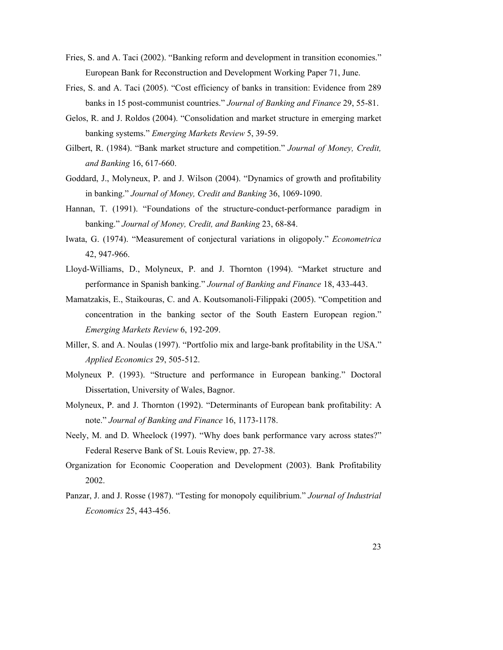- Fries, S. and A. Taci (2002). "Banking reform and development in transition economies." European Bank for Reconstruction and Development Working Paper 71, June.
- Fries, S. and A. Taci (2005). "Cost efficiency of banks in transition: Evidence from 289 banks in 15 post-communist countries." *Journal of Banking and Finance* 29, 55-81.
- Gelos, R. and J. Roldos (2004). "Consolidation and market structure in emerging market banking systems." *Emerging Markets Review* 5, 39-59.
- Gilbert, R. (1984). "Bank market structure and competition." *Journal of Money, Credit, and Banking* 16, 617-660.
- Goddard, J., Molyneux, P. and J. Wilson (2004). "Dynamics of growth and profitability in banking." *Journal of Money, Credit and Banking* 36, 1069-1090.
- Hannan, T. (1991). "Foundations of the structure-conduct-performance paradigm in banking." *Journal of Money, Credit, and Banking* 23, 68-84.
- Iwata, G. (1974). "Measurement of conjectural variations in oligopoly." *Econometrica* 42, 947-966.
- Lloyd-Williams, D., Molyneux, P. and J. Thornton (1994). "Market structure and performance in Spanish banking." *Journal of Banking and Finance* 18, 433-443.
- Mamatzakis, E., Staikouras, C. and A. Koutsomanoli-Filippaki (2005). "Competition and concentration in the banking sector of the South Eastern European region." *Emerging Markets Review* 6, 192-209.
- Miller, S. and A. Noulas (1997). "Portfolio mix and large-bank profitability in the USA." *Applied Economics* 29, 505-512.
- Molyneux P. (1993). "Structure and performance in European banking." Doctoral Dissertation, University of Wales, Bagnor.
- Molyneux, P. and J. Thornton (1992). "Determinants of European bank profitability: A note." *Journal of Banking and Finance* 16, 1173-1178.
- Neely, M. and D. Wheelock (1997). "Why does bank performance vary across states?" Federal Reserve Bank of St. Louis Review, pp. 27-38.
- Organization for Economic Cooperation and Development (2003). Bank Profitability 2002.
- Panzar, J. and J. Rosse (1987). "Testing for monopoly equilibrium." *Journal of Industrial Economics* 25, 443-456.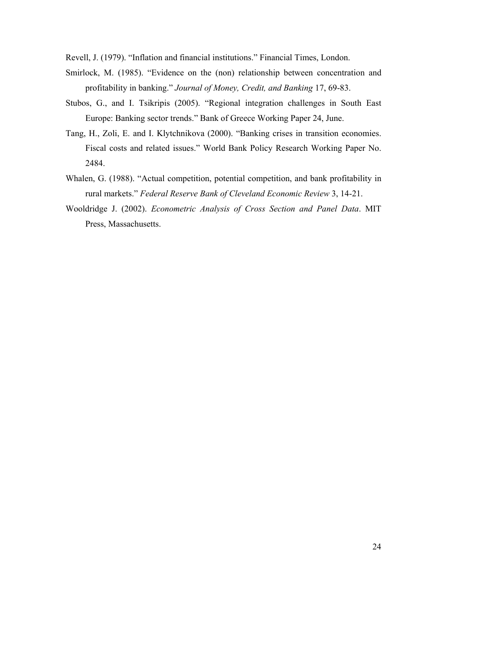Revell, J. (1979). "Inflation and financial institutions." Financial Times, London.

- Smirlock, M. (1985). "Evidence on the (non) relationship between concentration and profitability in banking." *Journal of Money, Credit, and Banking* 17, 69-83.
- Stubos, G., and I. Tsikripis (2005). "Regional integration challenges in South East Europe: Banking sector trends." Bank of Greece Working Paper 24, June.
- Tang, H., Zoli, E. and I. Klytchnikova (2000). "Banking crises in transition economies. Fiscal costs and related issues." World Bank Policy Research Working Paper No. 2484.
- Whalen, G. (1988). "Actual competition, potential competition, and bank profitability in rural markets." *Federal Reserve Bank of Cleveland Economic Review* 3, 14-21.
- Wooldridge J. (2002). *Econometric Analysis of Cross Section and Panel Data*. MIT Press, Massachusetts.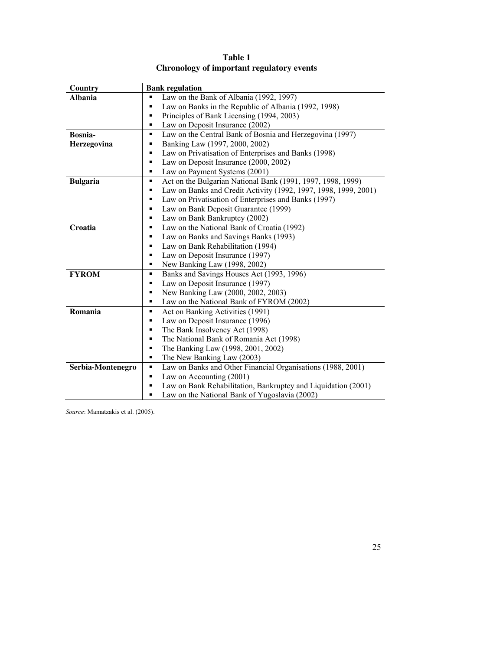| Country           | <b>Bank regulation</b>                                               |
|-------------------|----------------------------------------------------------------------|
| <b>Albania</b>    | Law on the Bank of Albania (1992, 1997)<br>٠                         |
|                   | Law on Banks in the Republic of Albania (1992, 1998)<br>٠            |
|                   | Principles of Bank Licensing (1994, 2003)<br>٠                       |
|                   | Law on Deposit Insurance (2002)<br>٠                                 |
| Bosnia-           | Law on the Central Bank of Bosnia and Herzegovina (1997)<br>٠        |
| Herzegovina       | Banking Law (1997, 2000, 2002)<br>٠                                  |
|                   | Law on Privatisation of Enterprises and Banks (1998)<br>٠            |
|                   | Law on Deposit Insurance (2000, 2002)<br>٠                           |
|                   | Law on Payment Systems (2001)<br>٠                                   |
| <b>Bulgaria</b>   | Act on the Bulgarian National Bank (1991, 1997, 1998, 1999)<br>٠     |
|                   | Law on Banks and Credit Activity (1992, 1997, 1998, 1999, 2001)<br>٠ |
|                   | Law on Privatisation of Enterprises and Banks (1997)<br>٠            |
|                   | Law on Bank Deposit Guarantee (1999)<br>٠                            |
|                   | Law on Bank Bankruptcy (2002)<br>٠                                   |
| Croatia           | Law on the National Bank of Croatia (1992)<br>٠                      |
|                   | Law on Banks and Savings Banks (1993)<br>٠                           |
|                   | Law on Bank Rehabilitation (1994)<br>٠                               |
|                   | Law on Deposit Insurance (1997)<br>٠                                 |
|                   | New Banking Law (1998, 2002)<br>٠                                    |
| <b>FYROM</b>      | Banks and Savings Houses Act (1993, 1996)<br>٠                       |
|                   | Law on Deposit Insurance (1997)<br>٠                                 |
|                   | New Banking Law (2000, 2002, 2003)<br>٠                              |
|                   | Law on the National Bank of FYROM (2002)<br>٠                        |
| Romania           | Act on Banking Activities (1991)<br>٠                                |
|                   | Law on Deposit Insurance (1996)<br>٠                                 |
|                   | The Bank Insolvency Act (1998)<br>٠                                  |
|                   | The National Bank of Romania Act (1998)<br>٠                         |
|                   | The Banking Law (1998, 2001, 2002)<br>٠                              |
|                   | The New Banking Law (2003)<br>٠                                      |
| Serbia-Montenegro | Law on Banks and Other Financial Organisations (1988, 2001)<br>٠     |
|                   | Law on Accounting (2001)<br>٠                                        |
|                   | Law on Bank Rehabilitation, Bankruptcy and Liquidation (2001)<br>٠   |
|                   | Law on the National Bank of Yugoslavia (2002)<br>■                   |

**Table 1 Chronology of important regulatory events** 

*Source*: Mamatzakis et al. (2005).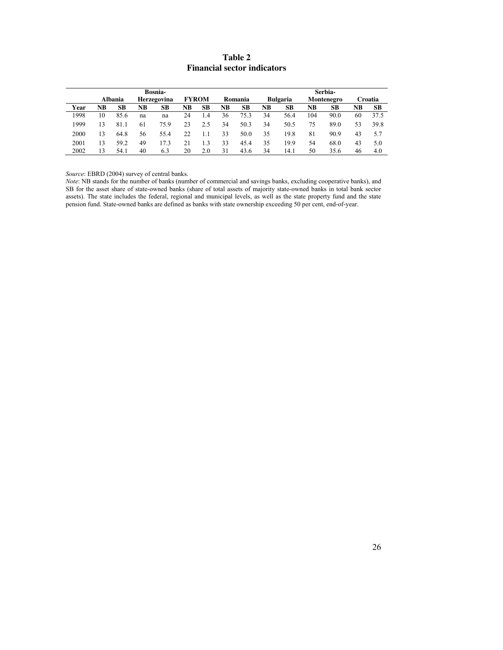# **Table 2 Financial sector indicators**

|      | Bosnia- |         |                |             |    |              |    |           |    |                 |                | Serbia-    |    |           |
|------|---------|---------|----------------|-------------|----|--------------|----|-----------|----|-----------------|----------------|------------|----|-----------|
|      |         | Albania |                | Herzegovina |    | <b>FYROM</b> |    | Romania   |    | <b>Bulgaria</b> |                | Montenegro |    | Croatia   |
| Year | NB      | SВ      | N <sub>B</sub> | SВ          | NB | SВ           | NB | <b>SB</b> | NB | <b>SB</b>       | N <sub>B</sub> | SВ         | NB | <b>SB</b> |
| 1998 | 10      | 85.6    | na             | na          | 24 | 1.4          | 36 | 75.3      | 34 | 56.4            | 104            | 90.0       | 60 | 37.5      |
| 1999 | 13      | 81.1    | 61             | 75.9        | 23 | 2.5          | 34 | 50.3      | 34 | 50.5            | 75             | 89.0       | 53 | 39.8      |
| 2000 | 13      | 64.8    | 56             | 55.4        | 22 | 1.1          | 33 | 50.0      | 35 | 19.8            | 81             | 90.9       | 43 | 5.7       |
| 2001 | 13      | 59.2    | 49             | 17.3        | 21 | 13           | 33 | 45.4      | 35 | 19.9            | 54             | 68.0       | 43 | 5.0       |
| 2002 | 13      | 54.1    | 40             | 6.3         | 20 | 2.0          | 31 | 43.6      | 34 | 14.1            | 50             | 35.6       | 46 | 4.0       |

*Source*: EBRD (2004) survey of central banks.

*Note*: NB stands for the number of banks (number of commercial and savings banks, excluding cooperative banks), and SB for the asset share of state-owned banks (share of total assets of majority state-owned banks in total bank sector assets). The state includes the federal, regional and municipal levels, as well as the state property fund and the state pension fund. State-owned banks are defined as banks with state ownership exceeding 50 per cent, end-of-year.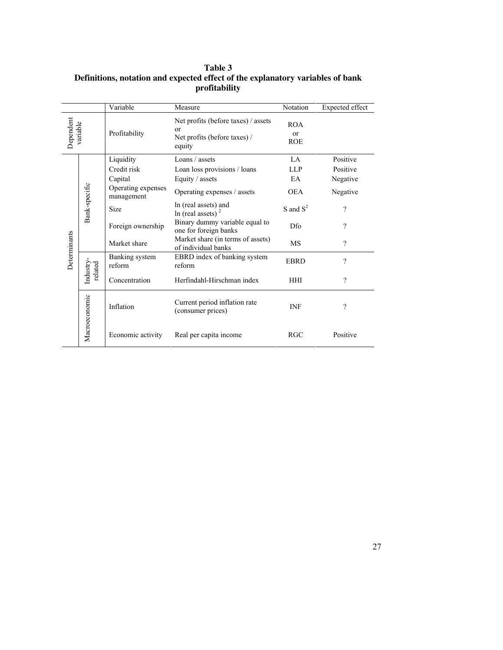|                                      |                   | Variable                         | Measure                                                                             | Notation                               | Expected effect |
|--------------------------------------|-------------------|----------------------------------|-------------------------------------------------------------------------------------|----------------------------------------|-----------------|
| Dependent<br>variable                |                   | Profitability                    | Net profits (before taxes) / assets<br>or<br>Net profits (before taxes) /<br>equity | <b>ROA</b><br>$\alpha$ r<br><b>ROE</b> |                 |
|                                      |                   | Liquidity                        | Loans / assets                                                                      | LA.                                    | Positive        |
|                                      |                   | Credit risk                      | Loan loss provisions / loans                                                        | <b>LLP</b>                             | Positive        |
| Bank-specific                        |                   | Capital                          | Equity / assets                                                                     | EA                                     | Negative        |
|                                      |                   | Operating expenses<br>management | Operating expenses / assets                                                         | <b>OEA</b>                             | Negative        |
|                                      |                   | Size                             | In (real assets) and<br>In (real assets) $2$                                        | S and $S^2$                            | $\gamma$        |
|                                      |                   | Foreign ownership                | Binary dummy variable equal to<br>one for foreign banks                             | Dfo                                    | ?               |
| Determinants                         |                   | Market share                     | Market share (in terms of assets)<br>of individual banks                            | MS                                     | ?               |
| Industry<br>related<br>Macroeconomic |                   | Banking system<br>reform         | EBRD index of banking system<br>reform                                              | <b>EBRD</b>                            | ?               |
|                                      | Concentration     | Herfindahl-Hirschman index       | <b>HHI</b>                                                                          | $\gamma$                               |                 |
|                                      |                   | Inflation                        | Current period inflation rate<br>(consumer prices)                                  | <b>INF</b>                             | $\gamma$        |
|                                      | Economic activity | Real per capita income           | <b>RGC</b>                                                                          | Positive                               |                 |

## **Table 3 Definitions, notation and expected effect of the explanatory variables of bank profitability**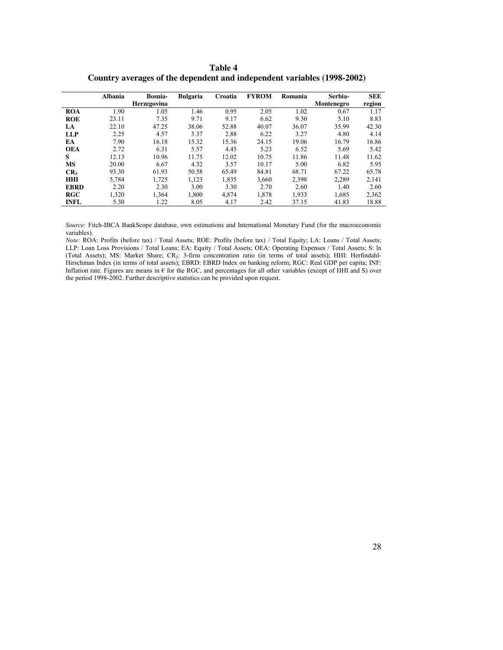|                 | <b>Albania</b> | Bosnia-<br><b>Herzegovina</b> | <b>Bulgaria</b> | Croatia | <b>FYROM</b> | Romania | Serbia-<br>Montenegro | <b>SEE</b><br>region |
|-----------------|----------------|-------------------------------|-----------------|---------|--------------|---------|-----------------------|----------------------|
| <b>ROA</b>      | 1.90           | 1.05                          | 1.46            | 0.95    | 2.05         | 1.02    | 0.67                  | 1.17                 |
| <b>ROE</b>      | 23.11          | 7.35                          | 9.71            | 9.17    | 6.62         | 9.30    | 5.10                  | 8.83                 |
| LA              | 22.10          | 47.25                         | 38.06           | 52.88   | 40.07        | 36.07   | 35.99                 | 42.30                |
| <b>LLP</b>      | 2.25           | 4.57                          | 3.37            | 2.88    | 6.22         | 3.27    | 4.80                  | 4.14                 |
| EA              | 7.90           | 16.18                         | 15.32           | 15.36   | 24.15        | 19.06   | 16.79                 | 16.86                |
| <b>OEA</b>      | 2.72           | 6.31                          | 5.57            | 4.45    | 5.23         | 6.52    | 5.69                  | 5.42                 |
| S               | 12.13          | 10.96                         | 11.75           | 12.02   | 10.75        | 11.86   | 11.48                 | 11.62                |
| <b>MS</b>       | 20.00          | 6.67                          | 4.32            | 3.57    | 10.17        | 5.00    | 6.82                  | 5.95                 |
| CR <sub>3</sub> | 93.30          | 61.93                         | 50.58           | 65.49   | 84.81        | 68.71   | 67.22                 | 65.78                |
| <b>HHI</b>      | 5,784          | 1.725                         | 1.123           | 1,835   | 3,660        | 2,398   | 2,289                 | 2,141                |
| <b>EBRD</b>     | 2.20           | 2.30                          | 3.00            | 3.30    | 2.70         | 2.60    | 1.40                  | 2.60                 |
| RGC             | 1,320          | 1,364                         | 1.800           | 4.874   | 1.878        | 1,933   | 1,685                 | 2,362                |
| <b>INFL</b>     | 5.30           | 1.22                          | 8.05            | 4.17    | 2.42         | 37.15   | 41.83                 | 18.88                |

**Table 4 Country averages of the dependent and independent variables (1998-2002)** 

*Source:* Fitch-IBCA BankScope database, own estimations and International Monetary Fund (for the macroeconomic variables).

*Note:* ROA: Profits (before tax) / Total Assets; ROE: Profits (before tax) / Total Equity; LA: Loans / Total Assets; LLP: Loan Loss Provisions / Total Loans; EA: Equity / Total Assets; OEA: Operating Expenses / Total Assets; S: ln (Total Assets); MS: Market Share; CR<sub>3</sub>: 3-firm concentration ratio (in terms of total assets); HHI: Herfindahl-Hirschman Index (in terms of total assets); EBRD: EBRD Index on banking reform; RGC: Real GDP per capita; INF: Inflation rate. Figures are means in  $\epsilon$  for the RGC, and percentages for all other variables (except of HHI and S) over the period 1998-2002. Further descriptive statistics can be provided upon request.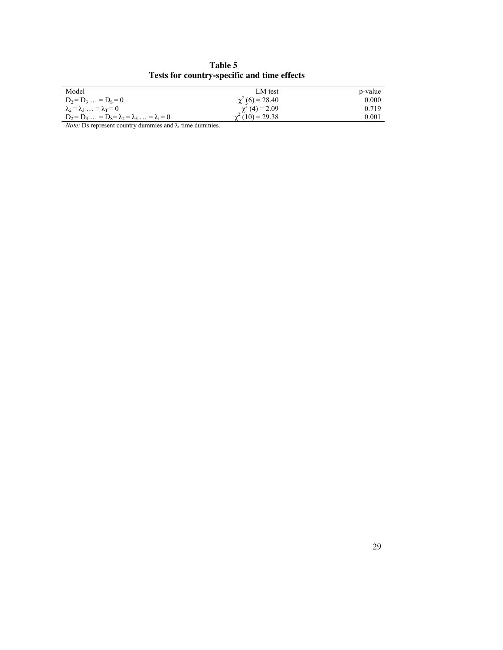**Table 5 Tests for country-specific and time effects** 

| Model                                                       | LM test                | p-value |
|-------------------------------------------------------------|------------------------|---------|
| $D_2 = D_3  = D_s = 0$                                      | $\chi^2$ (6) = 28.40   | 0.000   |
| $\lambda_2 = \lambda_3 \ldots = \lambda_T = 0$              | $\gamma^2$ (4) = 2.09  | 0.719   |
| $D_2 = D_3  = D_S = \lambda_2 = \lambda_3  = \lambda_t = 0$ | $\gamma^2(10) = 29.38$ | 0.001   |

*Note:* Ds represent country dummies and  $\lambda_t$  time dummies.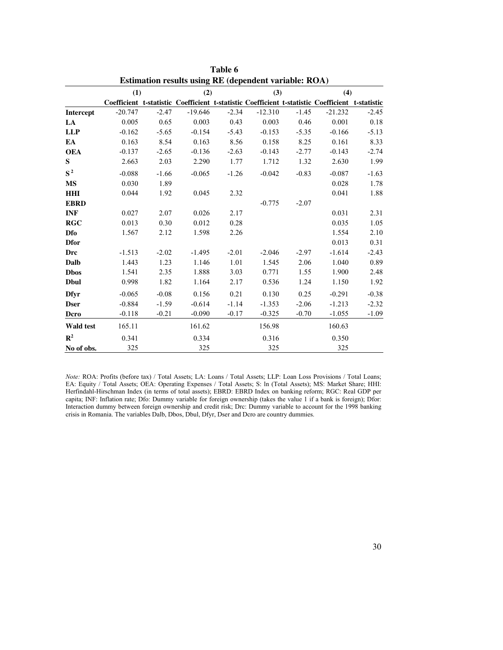|                  | <b>ESUMATION FESURE USING KE (GEPERGENT VALIADIE: KOA)</b> |         |           |         |           |         |                                                                                                 |         |  |  |
|------------------|------------------------------------------------------------|---------|-----------|---------|-----------|---------|-------------------------------------------------------------------------------------------------|---------|--|--|
|                  | (1)                                                        |         | (2)       |         | (3)       |         | (4)                                                                                             |         |  |  |
|                  |                                                            |         |           |         |           |         | Coefficient t-statistic Coefficient t-statistic Coefficient t-statistic Coefficient t-statistic |         |  |  |
| Intercept        | $-20.747$                                                  | $-2.47$ | $-19.646$ | $-2.34$ | $-12.310$ | $-1.45$ | $-21.232$                                                                                       | $-2.45$ |  |  |
| LA               | 0.005                                                      | 0.65    | 0.003     | 0.43    | 0.003     | 0.46    | 0.001                                                                                           | 0.18    |  |  |
| <b>LLP</b>       | $-0.162$                                                   | $-5.65$ | $-0.154$  | $-5.43$ | $-0.153$  | $-5.35$ | $-0.166$                                                                                        | $-5.13$ |  |  |
| EA               | 0.163                                                      | 8.54    | 0.163     | 8.56    | 0.158     | 8.25    | 0.161                                                                                           | 8.33    |  |  |
| <b>OEA</b>       | $-0.137$                                                   | $-2.65$ | $-0.136$  | $-2.63$ | $-0.143$  | $-2.77$ | $-0.143$                                                                                        | $-2.74$ |  |  |
| S                | 2.663                                                      | 2.03    | 2.290     | 1.77    | 1.712     | 1.32    | 2.630                                                                                           | 1.99    |  |  |
| $S^2$            | $-0.088$                                                   | $-1.66$ | $-0.065$  | $-1.26$ | $-0.042$  | $-0.83$ | $-0.087$                                                                                        | $-1.63$ |  |  |
| <b>MS</b>        | 0.030                                                      | 1.89    |           |         |           |         | 0.028                                                                                           | 1.78    |  |  |
| <b>HHI</b>       | 0.044                                                      | 1.92    | 0.045     | 2.32    |           |         | 0.041                                                                                           | 1.88    |  |  |
| <b>EBRD</b>      |                                                            |         |           |         | $-0.775$  | $-2.07$ |                                                                                                 |         |  |  |
| <b>INF</b>       | 0.027                                                      | 2.07    | 0.026     | 2.17    |           |         | 0.031                                                                                           | 2.31    |  |  |
| <b>RGC</b>       | 0.013                                                      | 0.30    | 0.012     | 0.28    |           |         | 0.035                                                                                           | 1.05    |  |  |
| <b>Dfo</b>       | 1.567                                                      | 2.12    | 1.598     | 2.26    |           |         | 1.554                                                                                           | 2.10    |  |  |
| <b>Dfor</b>      |                                                            |         |           |         |           |         | 0.013                                                                                           | 0.31    |  |  |
| Drc              | $-1.513$                                                   | $-2.02$ | $-1.495$  | $-2.01$ | $-2.046$  | $-2.97$ | $-1.614$                                                                                        | $-2.43$ |  |  |
| Dalb             | 1.443                                                      | 1.23    | 1.146     | 1.01    | 1.545     | 2.06    | 1.040                                                                                           | 0.89    |  |  |
| <b>Dbos</b>      | 1.541                                                      | 2.35    | 1.888     | 3.03    | 0.771     | 1.55    | 1.900                                                                                           | 2.48    |  |  |
| <b>D</b> bul     | 0.998                                                      | 1.82    | 1.164     | 2.17    | 0.536     | 1.24    | 1.150                                                                                           | 1.92    |  |  |
| <b>Dfyr</b>      | $-0.065$                                                   | $-0.08$ | 0.156     | 0.21    | 0.130     | 0.25    | $-0.291$                                                                                        | $-0.38$ |  |  |
| <b>Dser</b>      | $-0.884$                                                   | $-1.59$ | $-0.614$  | $-1.14$ | $-1.353$  | $-2.06$ | $-1.213$                                                                                        | $-2.32$ |  |  |
| Dcro             | $-0.118$                                                   | $-0.21$ | $-0.090$  | $-0.17$ | $-0.325$  | $-0.70$ | $-1.055$                                                                                        | $-1.09$ |  |  |
| <b>Wald test</b> | 165.11                                                     |         | 161.62    |         | 156.98    |         | 160.63                                                                                          |         |  |  |
| ${\bf R}^2$      | 0.341                                                      |         | 0.334     |         | 0.316     |         | 0.350                                                                                           |         |  |  |
| No of obs.       | 325                                                        |         | 325       |         | 325       |         | 325                                                                                             |         |  |  |

**Table 6 Estimation results using RE (dependent variable: ROA)**

*Note:* ROA: Profits (before tax) / Total Assets; LA: Loans / Total Assets; LLP: Loan Loss Provisions / Total Loans; EA: Equity / Total Assets; OEA: Operating Expenses / Total Assets; S: ln (Total Assets); MS: Market Share; HHI: Herfindahl-Hirschman Index (in terms of total assets); EBRD: EBRD Index on banking reform; RGC: Real GDP per capita; INF: Inflation rate; Dfo: Dummy variable for foreign ownership (takes the value 1 if a bank is foreign); Dfor: Interaction dummy between foreign ownership and credit risk; Drc: Dummy variable to account for the 1998 banking crisis in Romania. The variables Dalb, Dbos, Dbul, Dfyr, Dser and Dcro are country dummies.